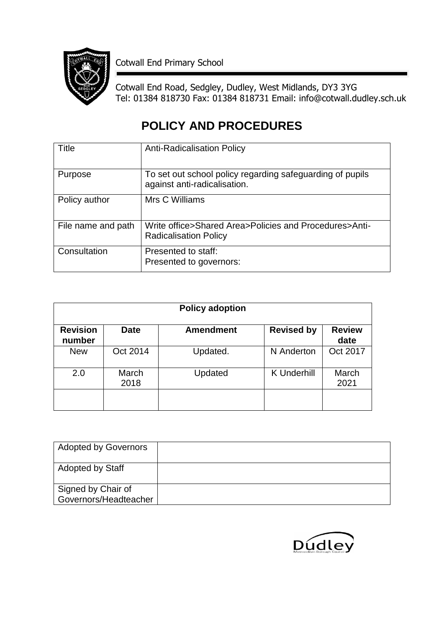

Cotwall End Primary School

Cotwall End Road, Sedgley, Dudley, West Midlands, DY3 3YG Tel: 01384 818730 Fax: 01384 818731 Email: info@cotwall.dudley.sch.uk

# **POLICY AND PROCEDURES**

| Title              | <b>Anti-Radicalisation Policy</b>                                                         |
|--------------------|-------------------------------------------------------------------------------------------|
| Purpose            | To set out school policy regarding safeguarding of pupils<br>against anti-radicalisation. |
| Policy author      | Mrs C Williams                                                                            |
| File name and path | Write office>Shared Area>Policies and Procedures>Anti-<br><b>Radicalisation Policy</b>    |
| Consultation       | Presented to staff:<br>Presented to governors:                                            |

| <b>Policy adoption</b>    |               |                  |                    |                       |  |
|---------------------------|---------------|------------------|--------------------|-----------------------|--|
| <b>Revision</b><br>number | <b>Date</b>   | <b>Amendment</b> | <b>Revised by</b>  | <b>Review</b><br>date |  |
| <b>New</b>                | Oct 2014      | Updated.         | N Anderton         | Oct 2017              |  |
| 2.0                       | March<br>2018 | Updated          | <b>K</b> Underhill | March<br>2021         |  |
|                           |               |                  |                    |                       |  |

| <b>Adopted by Governors</b> |  |
|-----------------------------|--|
| <b>Adopted by Staff</b>     |  |
| Signed by Chair of          |  |
| Governors/Headteacher       |  |

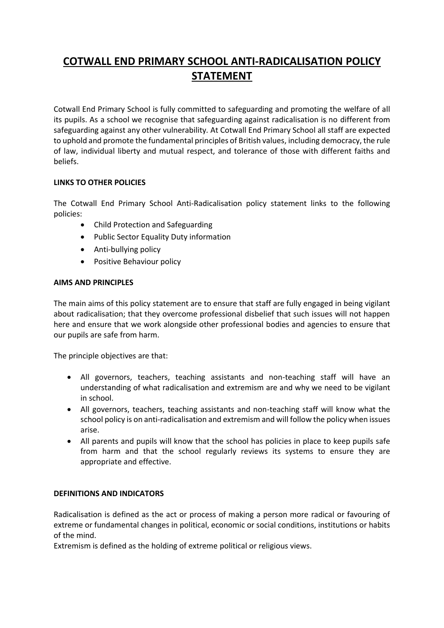## **COTWALL END PRIMARY SCHOOL ANTI-RADICALISATION POLICY STATEMENT**

Cotwall End Primary School is fully committed to safeguarding and promoting the welfare of all its pupils. As a school we recognise that safeguarding against radicalisation is no different from safeguarding against any other vulnerability*.* At Cotwall End Primary School all staff are expected to uphold and promote the fundamental principles of British values, including democracy, the rule of law, individual liberty and mutual respect, and tolerance of those with different faiths and beliefs.

### **LINKS TO OTHER POLICIES**

The Cotwall End Primary School Anti-Radicalisation policy statement links to the following policies:

- Child Protection and Safeguarding
- Public Sector Equality Duty information
- Anti-bullying policy
- Positive Behaviour policy

#### **AIMS AND PRINCIPLES**

The main aims of this policy statement are to ensure that staff are fully engaged in being vigilant about radicalisation; that they overcome professional disbelief that such issues will not happen here and ensure that we work alongside other professional bodies and agencies to ensure that our pupils are safe from harm.

The principle objectives are that:

- All governors, teachers, teaching assistants and non-teaching staff will have an understanding of what radicalisation and extremism are and why we need to be vigilant in school.
- All governors, teachers, teaching assistants and non-teaching staff will know what the school policy is on anti-radicalisation and extremism and will follow the policy when issues arise.
- All parents and pupils will know that the school has policies in place to keep pupils safe from harm and that the school regularly reviews its systems to ensure they are appropriate and effective.

#### **DEFINITIONS AND INDICATORS**

Radicalisation is defined as the act or process of making a person more radical or favouring of extreme or fundamental changes in political, economic or social conditions, institutions or habits of the mind.

Extremism is defined as the holding of extreme political or religious views.